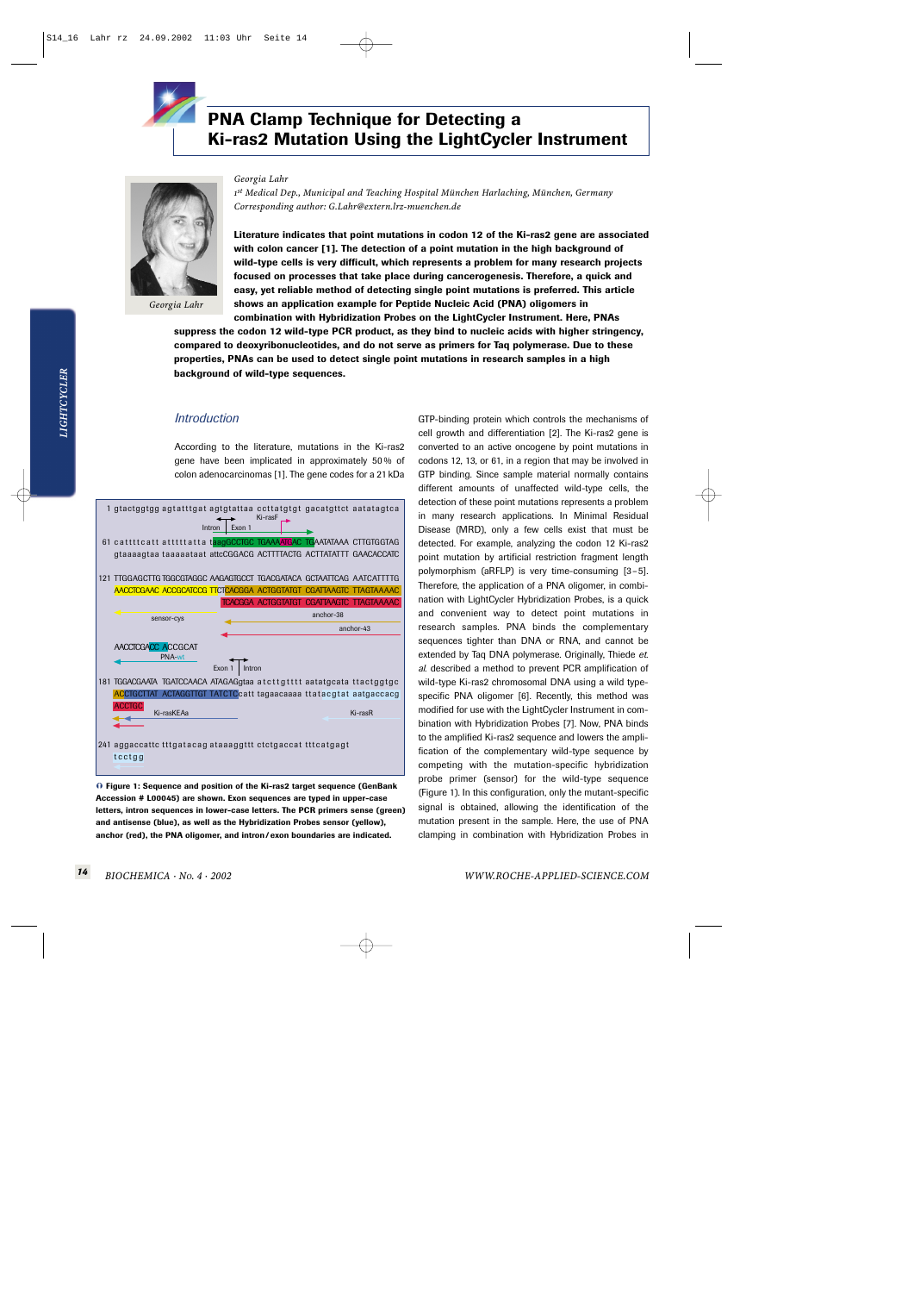

# **PNA Clamp Technique for Detecting a Ki-ras2 Mutation Using the LightCycler Instrument**



*Georgia Lahr*

*Georgia Lahr*

*1st Medical Dep., Municipal and Teaching Hospital München Harlaching, München, Germany Corresponding author: G.Lahr@extern.lrz-muenchen.de* 

**Literature indicates that point mutations in codon 12 of the Ki-ras2 gene are associated with colon cancer [1]. The detection of a point mutation in the high background of wild-type cells is very difficult, which represents a problem for many research projects focused on processes that take place during cancerogenesis. Therefore, a quick and easy, yet reliable method of detecting single point mutations is preferred. This article shows an application example for Peptide Nucleic Acid (PNA) oligomers in**

**combination with Hybridization Probes on the LightCycler Instrument. Here, PNAs suppress the codon 12 wild-type PCR product, as they bind to nucleic acids with higher stringency, compared to deoxyribonucleotides, and do not serve as primers for Taq polymerase. Due to these properties, PNAs can be used to detect single point mutations in research samples in a high background of wild-type sequences.**

### *Introduction*

According to the literature, mutations in the Ki-ras2 gene have been implicated in approximately 50 % of colon adenocarcinomas [1]. The gene codes for a 21 kDa



- **Figure 1: Sequence and position of the Ki-ras2 target sequence (GenBank Accession # L00045) are shown. Exon sequences are typed in upper-case letters, intron sequences in lower-case letters. The PCR primers sense (green) and antisense (blue), as well as the Hybridization Probes sensor (yellow), anchor (red), the PNA oligomer, and intron / exon boundaries are indicated.**

GTP-binding protein which controls the mechanisms of cell growth and differentiation [2]. The Ki-ras2 gene is converted to an active oncogene by point mutations in codons 12, 13, or 61, in a region that may be involved in GTP binding. Since sample material normally contains different amounts of unaffected wild-type cells, the detection of these point mutations represents a problem in many research applications. In Minimal Residual Disease (MRD), only a few cells exist that must be detected. For example, analyzing the codon 12 Ki-ras2 point mutation by artificial restriction fragment length polymorphism (aRFLP) is very time-consuming [3–5]. Therefore, the application of a PNA oligomer, in combination with LightCycler Hybridization Probes, is a quick and convenient way to detect point mutations in research samples. PNA binds the complementary sequences tighter than DNA or RNA, and cannot be extended by Taq DNA polymerase. Originally, Thiede *et. al.* described a method to prevent PCR amplification of wild-type Ki-ras2 chromosomal DNA using a wild typespecific PNA oligomer [6]. Recently, this method was modified for use with the LightCycler Instrument in combination with Hybridization Probes [7]. Now, PNA binds to the amplified Ki-ras2 sequence and lowers the amplification of the complementary wild-type sequence by competing with the mutation-specific hybridization probe primer (sensor) for the wild-type sequence (Figure 1). In this configuration, only the mutant-specific signal is obtained, allowing the identification of the mutation present in the sample. Here, the use of PNA clamping in combination with Hybridization Probes in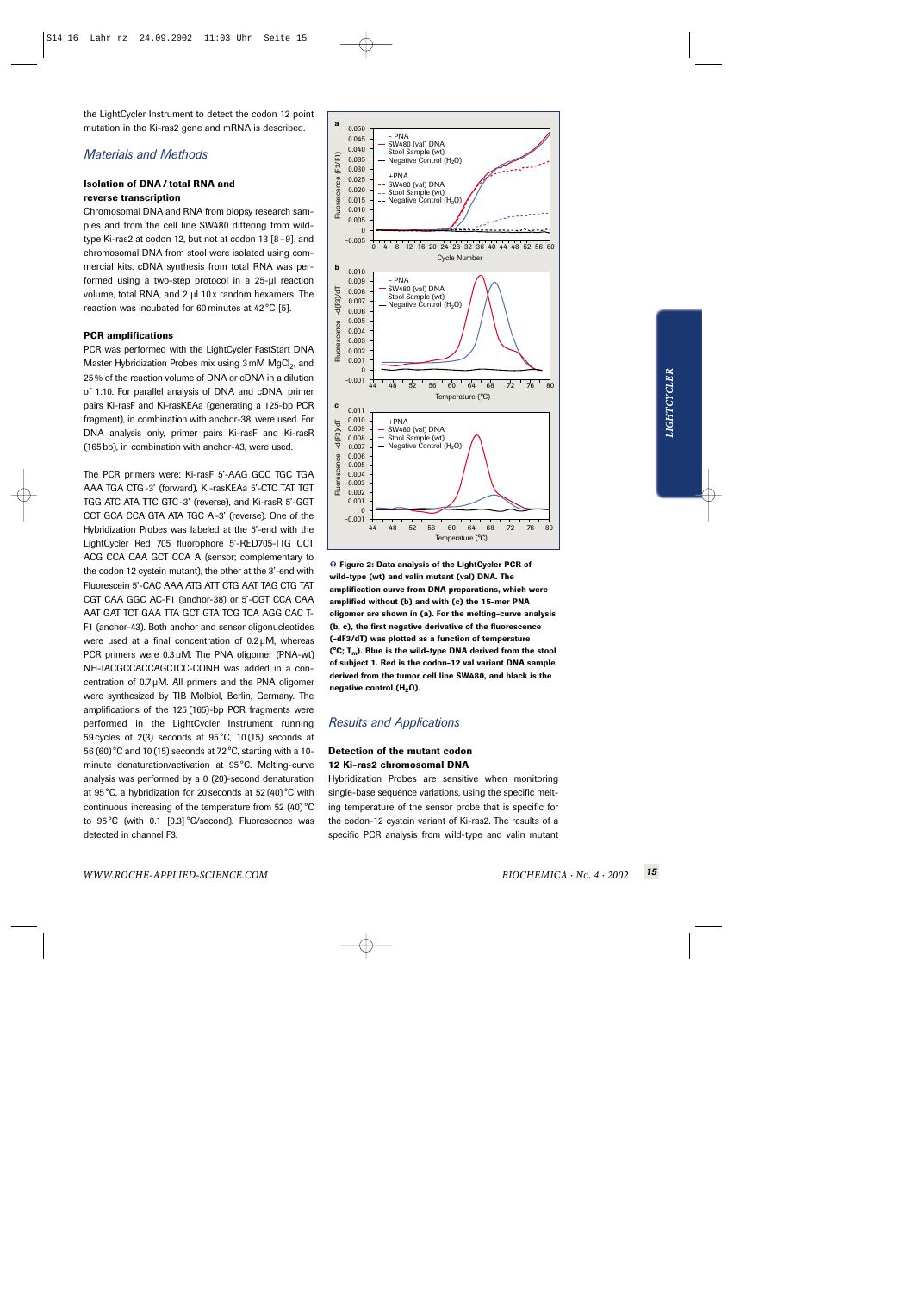the LightCycler Instrument to detect the codon 12 point mutation in the Ki-ras2 gene and mRNA is described.

## *Materials and Methods*

### **Isolation of DNA / total RNA and reverse transcription**

Chromosomal DNA and RNA from biopsy research samples and from the cell line SW480 differing from wildtype Ki-ras2 at codon 12, but not at codon 13 [8–9], and chromosomal DNA from stool were isolated using commercial kits. cDNA synthesis from total RNA was performed using a two-step protocol in a 25-µl reaction volume, total RNA, and 2 µl 10x random hexamers. The reaction was incubated for 60 minutes at 42 °C [5].

#### **PCR amplifications**

PCR was performed with the LightCycler FastStart DNA Master Hybridization Probes mix using 3 mM MgCl<sub>2</sub>, and 25 % of the reaction volume of DNA or cDNA in a dilution of 1:10. For parallel analysis of DNA and cDNA, primer pairs Ki-rasF and Ki-rasKEAa (generating a 125-bp PCR fragment), in combination with anchor-38, were used. For DNA analysis only, primer pairs Ki-rasF and Ki-rasR (165 bp), in combination with anchor-43, were used.

The PCR primers were: Ki-rasF 5'-AAG GCC TGC TGA AAA TGA CTG -3' (forward), Ki-rasKEAa 5'-CTC TAT TGT TGG ATC ATA TTC GTC -3' (reverse), and Ki-rasR 5'-GGT CCT GCA CCA GTA ATA TGC A -3' (reverse). One of the Hybridization Probes was labeled at the 5'-end with the LightCycler Red 705 fluorophore 5'-RED705-TTG CCT ACG CCA CAA GCT CCA A (sensor; complementary to the codon 12 cystein mutant), the other at the 3'-end with Fluorescein 5'-CAC AAA ATG ATT CTG AAT TAG CTG TAT CGT CAA GGC AC-F1 (anchor-38) or 5'-CGT CCA CAA AAT GAT TCT GAA TTA GCT GTA TCG TCA AGG CAC T-F1 (anchor-43). Both anchor and sensor oligonucleotides were used at a final concentration of 0.2 µM, whereas PCR primers were  $0.3 \mu$ M. The PNA oligomer (PNA-wt) NH-TACGCCACCAGCTCC-CONH was added in a concentration of 0.7 µM. All primers and the PNA oligomer were synthesized by TIB Molbiol, Berlin, Germany. The amplifications of the 125 (165)-bp PCR fragments were performed in the LightCycler Instrument running 59 cycles of 2(3) seconds at 95 °C, 10 (15) seconds at 56 (60)°C and 10 (15) seconds at 72 °C, starting with a 10 minute denaturation/activation at 95 °C. Melting-curve analysis was performed by a 0 (20)-second denaturation at 95 °C, a hybridization for 20 seconds at 52 (40)°C with continuous increasing of the temperature from 52 (40)°C to 95 °C (with 0.1 [0.3] °C/second). Fluorescence was detected in channel F3.



- **Figure 2: Data analysis of the LightCycler PCR of wild-type (wt) and valin mutant (val) DNA. The amplification curve from DNA preparations, which were amplified without (b) and with (c) the 15-mer PNA oligomer are shown in (a). For the melting-curve analysis (b, c), the first negative derivative of the fluorescence (-dF3/dT) was plotted as a function of temperature (°C; Tm). Blue is the wild-type DNA derived from the stool of subject 1. Red is the codon-12 val variant DNA sample derived from the tumor cell line SW480, and black is the negative control (H<sub>2</sub>O).** 

# *Results and Applications*

### **Detection of the mutant codon 12 Ki-ras2 chromosomal DNA**

Hybridization Probes are sensitive when monitoring single-base sequence variations, using the specific melting temperature of the sensor probe that is specific for the codon-12 cystein variant of Ki-ras2. The results of a specific PCR analysis from wild-type and valin mutant